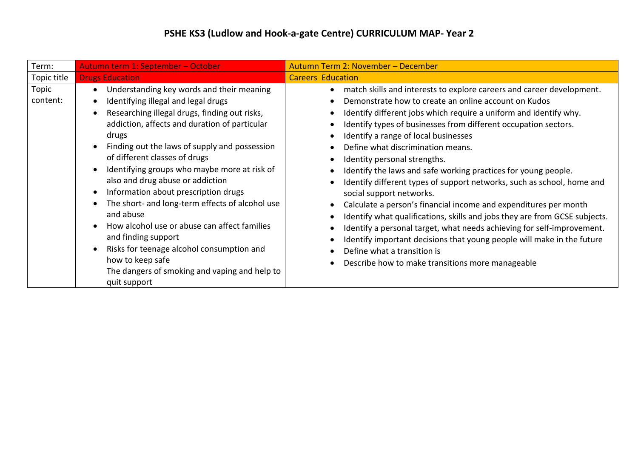| Term:             | Autumn term 1: September - October                                                                                                                                                                                                                                                                                                                                                                                                                                                                                                                                                                                                                                                                                                                                            | Autumn Term 2: November - December                                                                                                                                                                                                                                                                                                                                                                                                                                                                                                                                                                                                                                                                                                                                                                                                                                                                                                                  |
|-------------------|-------------------------------------------------------------------------------------------------------------------------------------------------------------------------------------------------------------------------------------------------------------------------------------------------------------------------------------------------------------------------------------------------------------------------------------------------------------------------------------------------------------------------------------------------------------------------------------------------------------------------------------------------------------------------------------------------------------------------------------------------------------------------------|-----------------------------------------------------------------------------------------------------------------------------------------------------------------------------------------------------------------------------------------------------------------------------------------------------------------------------------------------------------------------------------------------------------------------------------------------------------------------------------------------------------------------------------------------------------------------------------------------------------------------------------------------------------------------------------------------------------------------------------------------------------------------------------------------------------------------------------------------------------------------------------------------------------------------------------------------------|
| Topic title       | <b>Drugs Education</b>                                                                                                                                                                                                                                                                                                                                                                                                                                                                                                                                                                                                                                                                                                                                                        | <b>Careers Education</b>                                                                                                                                                                                                                                                                                                                                                                                                                                                                                                                                                                                                                                                                                                                                                                                                                                                                                                                            |
| Topic<br>content: | Understanding key words and their meaning<br>$\bullet$<br>Identifying illegal and legal drugs<br>$\bullet$<br>Researching illegal drugs, finding out risks,<br>$\bullet$<br>addiction, affects and duration of particular<br>drugs<br>Finding out the laws of supply and possession<br>of different classes of drugs<br>Identifying groups who maybe more at risk of<br>$\bullet$<br>also and drug abuse or addiction<br>Information about prescription drugs<br>$\bullet$<br>The short- and long-term effects of alcohol use<br>and abuse<br>How alcohol use or abuse can affect families<br>$\bullet$<br>and finding support<br>Risks for teenage alcohol consumption and<br>$\bullet$<br>how to keep safe<br>The dangers of smoking and vaping and help to<br>quit support | match skills and interests to explore careers and career development.<br>Demonstrate how to create an online account on Kudos<br>Identify different jobs which require a uniform and identify why.<br>Identify types of businesses from different occupation sectors.<br>Identify a range of local businesses<br>Define what discrimination means.<br>Identity personal strengths.<br>Identify the laws and safe working practices for young people.<br>Identify different types of support networks, such as school, home and<br>social support networks.<br>Calculate a person's financial income and expenditures per month<br>Identify what qualifications, skills and jobs they are from GCSE subjects.<br>Identify a personal target, what needs achieving for self-improvement.<br>Identify important decisions that young people will make in the future<br>Define what a transition is<br>Describe how to make transitions more manageable |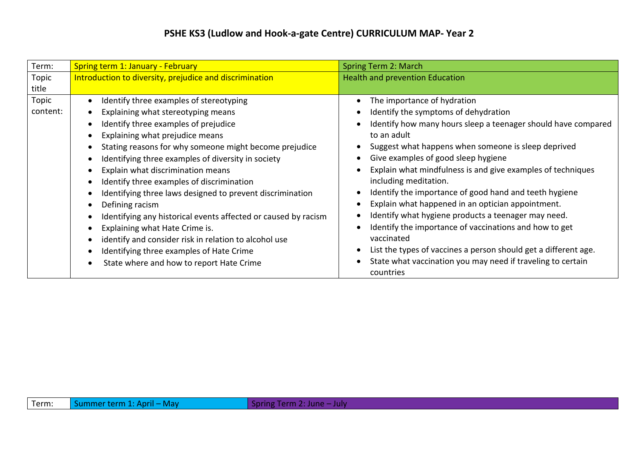## **PSHE KS3 (Ludlow and Hook-a-gate Centre) CURRICULUM MAP- Year 2**

| Term:    | <b>Spring term 1: January - February</b>                       | <b>Spring Term 2: March</b>                                              |
|----------|----------------------------------------------------------------|--------------------------------------------------------------------------|
| Topic    | Introduction to diversity, prejudice and discrimination        | <b>Health and prevention Education</b>                                   |
| title    |                                                                |                                                                          |
| Topic    | Identify three examples of stereotyping                        | The importance of hydration                                              |
| content: | Explaining what stereotyping means                             | Identify the symptoms of dehydration                                     |
|          | Identify three examples of prejudice                           | Identify how many hours sleep a teenager should have compared            |
|          | Explaining what prejudice means                                | to an adult                                                              |
|          | Stating reasons for why someone might become prejudice         | Suggest what happens when someone is sleep deprived                      |
|          | Identifying three examples of diversity in society             | Give examples of good sleep hygiene                                      |
|          | Explain what discrimination means                              | Explain what mindfulness is and give examples of techniques              |
|          | Identify three examples of discrimination                      | including meditation.                                                    |
|          | Identifying three laws designed to prevent discrimination      | Identify the importance of good hand and teeth hygiene                   |
|          | Defining racism                                                | Explain what happened in an optician appointment.                        |
|          | Identifying any historical events affected or caused by racism | Identify what hygiene products a teenager may need.                      |
|          | Explaining what Hate Crime is.                                 | Identify the importance of vaccinations and how to get                   |
|          | identify and consider risk in relation to alcohol use          | vaccinated                                                               |
|          | Identifying three examples of Hate Crime                       | List the types of vaccines a person should get a different age.          |
|          | State where and how to report Hate Crime                       | State what vaccination you may need if traveling to certain<br>countries |